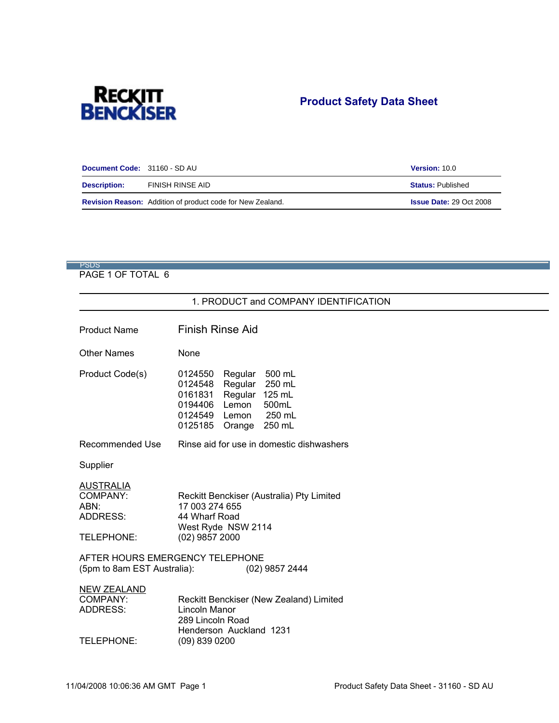

# **Product Safety Data Sheet**

| Document Code: 31160 - SD AU |                                                                   | Version: 10.0                  |
|------------------------------|-------------------------------------------------------------------|--------------------------------|
| <b>Description:</b>          | FINISH RINSE AID                                                  | <b>Status: Published</b>       |
|                              | <b>Revision Reason:</b> Addition of product code for New Zealand. | <b>Issue Date: 29 Oct 2008</b> |

# PSDS in the contract of the contract of the contract of the contract of the contract of the contract of the contract of the contract of the contract of the contract of the contract of the contract of the contract of the co

|                                                                                                                                                                                                                                                                                                                                                                                                                                                                                                                                                                                                                                                                                                                                                                                                                                                                                                                                                                                                                                                                                                                                                                                                                                                                                                                       | <b>Product Safety Data Sheet</b><br>Version: 10.0   |  |  |  |
|-----------------------------------------------------------------------------------------------------------------------------------------------------------------------------------------------------------------------------------------------------------------------------------------------------------------------------------------------------------------------------------------------------------------------------------------------------------------------------------------------------------------------------------------------------------------------------------------------------------------------------------------------------------------------------------------------------------------------------------------------------------------------------------------------------------------------------------------------------------------------------------------------------------------------------------------------------------------------------------------------------------------------------------------------------------------------------------------------------------------------------------------------------------------------------------------------------------------------------------------------------------------------------------------------------------------------|-----------------------------------------------------|--|--|--|
| FINISH RINSE AID                                                                                                                                                                                                                                                                                                                                                                                                                                                                                                                                                                                                                                                                                                                                                                                                                                                                                                                                                                                                                                                                                                                                                                                                                                                                                                      | <b>Status: Published</b><br>Issue Date: 29 Oct 2008 |  |  |  |
|                                                                                                                                                                                                                                                                                                                                                                                                                                                                                                                                                                                                                                                                                                                                                                                                                                                                                                                                                                                                                                                                                                                                                                                                                                                                                                                       |                                                     |  |  |  |
| 1. PRODUCT and COMPANY IDENTIFICATION<br><b>Finish Rinse Aid</b>                                                                                                                                                                                                                                                                                                                                                                                                                                                                                                                                                                                                                                                                                                                                                                                                                                                                                                                                                                                                                                                                                                                                                                                                                                                      |                                                     |  |  |  |
| None<br>0124550 Regular 500 mL<br>0124548 Regular 250 mL<br>0161831 Regular 125 mL<br>0194406 Lemon 500mL<br>0124549 Lemon 250 mL<br>0125185 Orange 250 mL                                                                                                                                                                                                                                                                                                                                                                                                                                                                                                                                                                                                                                                                                                                                                                                                                                                                                                                                                                                                                                                                                                                                                            |                                                     |  |  |  |
| <b>RECKITT</b><br>BENCKISER<br>Document Code: 31160 - SD AU<br>$\frac{1}{2} \left( \frac{1}{2} \right) \left( \frac{1}{2} \right) \left( \frac{1}{2} \right) \left( \frac{1}{2} \right) \left( \frac{1}{2} \right) \left( \frac{1}{2} \right) \left( \frac{1}{2} \right) \left( \frac{1}{2} \right) \left( \frac{1}{2} \right) \left( \frac{1}{2} \right) \left( \frac{1}{2} \right) \left( \frac{1}{2} \right) \left( \frac{1}{2} \right) \left( \frac{1}{2} \right) \left( \frac{1}{2} \right) \left( \frac{1}{2} \right) \left( \frac$<br><b>Description:</b><br>$\frac{1}{2} \left( \frac{1}{2} \right) \left( \frac{1}{2} \right) \left( \frac{1}{2} \right) \left( \frac{1}{2} \right) \left( \frac{1}{2} \right) \left( \frac{1}{2} \right) \left( \frac{1}{2} \right) \left( \frac{1}{2} \right) \left( \frac{1}{2} \right) \left( \frac{1}{2} \right) \left( \frac{1}{2} \right) \left( \frac{1}{2} \right) \left( \frac{1}{2} \right) \left( \frac{1}{2} \right) \left( \frac{1}{2} \right) \left( \frac{1}{2} \right) \left( \frac$<br>Revision Reason: Addition of product code for New Zealand.<br><b>Contract Contract</b><br>PSDS<br>PAGE 1 OF TOTAL 6<br><b>Product Name</b><br><b>Other Names</b><br><b>Product Code(s)</b><br>Recommended Use Rinse aid for use in domestic dishwashers<br>Supplier |                                                     |  |  |  |
| <u>AUSTRALIA</u><br>COMPANY:<br>ABN:<br>ADDRESS:<br>Reckitt Benckiser (Australia) Pty Limited<br>17 003 274 655<br>44 Wharf Road<br>West Ryde NSW 2114<br>(02) 9857 2000<br>TELEPHONE:<br>AFTER HOURS EMERGENCY TELEPHONE<br>(5pm to 8am EST Australia): (02) 9857 2444                                                                                                                                                                                                                                                                                                                                                                                                                                                                                                                                                                                                                                                                                                                                                                                                                                                                                                                                                                                                                                               |                                                     |  |  |  |
| <u>NEW ZEALAND</u><br>COMPANY:<br>ADDRESS:<br>Reckitt Benckiser (New Zealand) Limited<br>Lincoln Manor<br>289 Lincoln Road<br>Henderson Auckland 1231<br>TELEPHONE:<br>(09) 839 0200                                                                                                                                                                                                                                                                                                                                                                                                                                                                                                                                                                                                                                                                                                                                                                                                                                                                                                                                                                                                                                                                                                                                  |                                                     |  |  |  |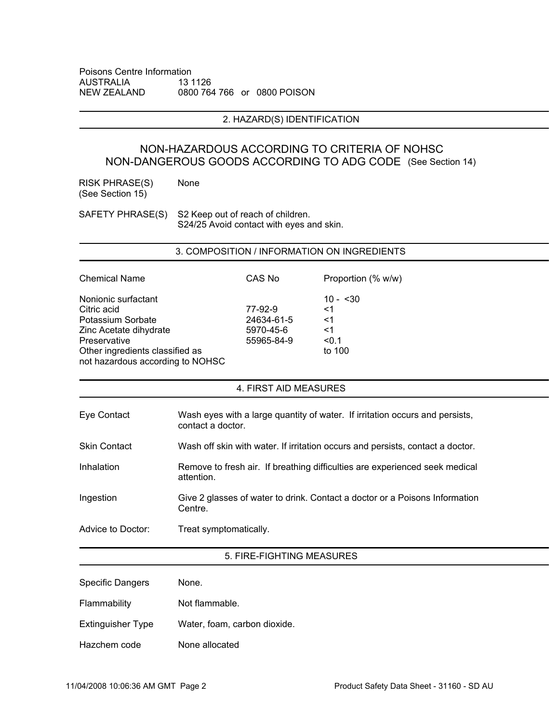#### 2. HAZARD(S) IDENTIFICATION

### NON-HAZARDOUS ACCORDING TO CRITERIA OF NOHSC NON-DANGEROUS GOODS ACCORDING TO ADG CODE (See Section 14)

|                                                                                     | Poisons Centre Information<br>AUSTRALIA 13 1126<br>NEW ZEALAND 0800 764 766 or 0800 POISON                 |  |  |  |
|-------------------------------------------------------------------------------------|------------------------------------------------------------------------------------------------------------|--|--|--|
|                                                                                     | 2. HAZARD(S) IDENTIFICATION                                                                                |  |  |  |
|                                                                                     | NON-HAZARDOUS ACCORDING TO CRITERIA OF NOHSC<br>NON-DANGEROUS GOODS ACCORDING TO ADG CODE (See Section 14) |  |  |  |
| RISK PHRASE(S) None<br>(See Section 15)                                             |                                                                                                            |  |  |  |
|                                                                                     | SAFETY PHRASE(S) S2 Keep out of reach of children.<br>S24/25 Avoid contact with eyes and skin.             |  |  |  |
|                                                                                     | 3. COMPOSITION / INFORMATION ON INGREDIENTS                                                                |  |  |  |
| <b>Chemical Name</b>                                                                | <b>CAS No</b><br>Proportion (% w/w)<br>$10 - 30$                                                           |  |  |  |
| Nonionic surfactant<br>Citric acid<br>Potassium Sorbate<br>Zinc Acetate dihydrate   | 77-92-9<br>24634-61-5<br>5970-45-6<br>55965-84-9<br>$<$ 1<br>$<$ 1<br>$\leq$ 1                             |  |  |  |
| Preservative<br>Other ingredients classified as<br>not hazardous according to NOHSC | < 0.1<br>to 100                                                                                            |  |  |  |
|                                                                                     | 4. FIRST AID MEASURES                                                                                      |  |  |  |
| Eye Contact                                                                         | Wash eyes with a large quantity of water. If irritation occurs and persists,<br>contact a doctor.          |  |  |  |
| <b>Skin Contact</b>                                                                 | Wash off skin with water. If irritation occurs and persists, contact a doctor.                             |  |  |  |
| Inhalation                                                                          | Remove to fresh air. If breathing difficulties are experienced seek medical<br>attention.                  |  |  |  |
| Ingestion                                                                           | Give 2 glasses of water to drink. Contact a doctor or a Poisons Information<br>Centre.                     |  |  |  |
| Advice to Doctor:                                                                   | Treat symptomatically.<br>5. FIRE-FIGHTING MEASURES                                                        |  |  |  |
| <b>Specific Dangers</b>                                                             | None.                                                                                                      |  |  |  |
| Flammability<br>Extinguisher Type                                                   | Not flammable.<br>Water, foam, carbon dioxide.                                                             |  |  |  |
| Hazchem code                                                                        | None allocated                                                                                             |  |  |  |
|                                                                                     |                                                                                                            |  |  |  |

| Specific Dangers  | None.                        |
|-------------------|------------------------------|
| Flammability      | Not flammable.               |
| Extinguisher Type | Water, foam, carbon dioxide. |
| Hazchem code      | None allocated               |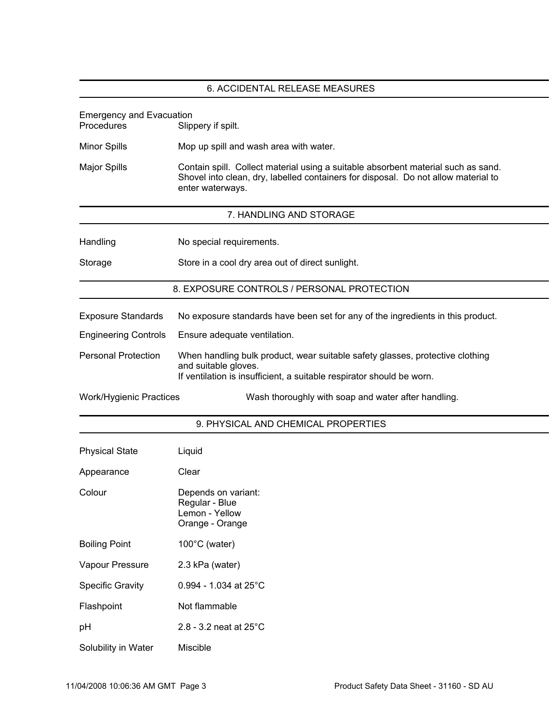|                                               | 6. ACCIDENTAL RELEASE MEASURES                                                                                                                                                              |
|-----------------------------------------------|---------------------------------------------------------------------------------------------------------------------------------------------------------------------------------------------|
|                                               |                                                                                                                                                                                             |
| Emergency and Evacuation<br>Procedures Slippo | Slippery if spilt.                                                                                                                                                                          |
| Minor Spills                                  | Mop up spill and wash area with water.                                                                                                                                                      |
| Major Spills                                  | Contain spill. Collect material using a suitable absorbent material such as sand.<br>Shovel into clean, dry, labelled containers for disposal. Do not allow material to<br>enter waterways. |
|                                               | 7. HANDLING AND STORAGE                                                                                                                                                                     |
| Handling                                      | No special requirements.                                                                                                                                                                    |
| Storage                                       | Store in a cool dry area out of direct sunlight.                                                                                                                                            |
|                                               | 8. EXPOSURE CONTROLS / PERSONAL PROTECTION                                                                                                                                                  |
| <b>Exposure Standards</b>                     | No exposure standards have been set for any of the ingredients in this product.                                                                                                             |
| <b>Engineering Controls</b>                   | Ensure adequate ventilation.                                                                                                                                                                |
| <b>Personal Protection</b>                    | When handling bulk product, wear suitable safety glasses, protective clothing<br>and suitable gloves.<br>If ventilation is insufficient, a suitable respirator should be worn.              |
| Work/Hygienic Practices                       | Wash thoroughly with soap and water after handling.                                                                                                                                         |
|                                               | 9. PHYSICAL AND CHEMICAL PROPERTIES                                                                                                                                                         |
| <b>Physical State</b>                         | Liquid                                                                                                                                                                                      |
| Appearance                                    | Clear                                                                                                                                                                                       |
| Colour                                        | Depends on variant:<br>Regular - Blue<br>Lemon - Yellow<br>Orange - Orange                                                                                                                  |
| <b>Boiling Point</b>                          | 100°C (water)                                                                                                                                                                               |
| Vapour Pressure                               | 2.3 kPa (water)                                                                                                                                                                             |
| <b>Specific Gravity</b>                       | $0.994$ - 1.034 at 25°C                                                                                                                                                                     |
| Flashpoint                                    | Not flammable                                                                                                                                                                               |
| pH                                            | $2.8 - 3.2$ neat at $25^{\circ}$ C                                                                                                                                                          |
| Solubility in Water                           | Miscible                                                                                                                                                                                    |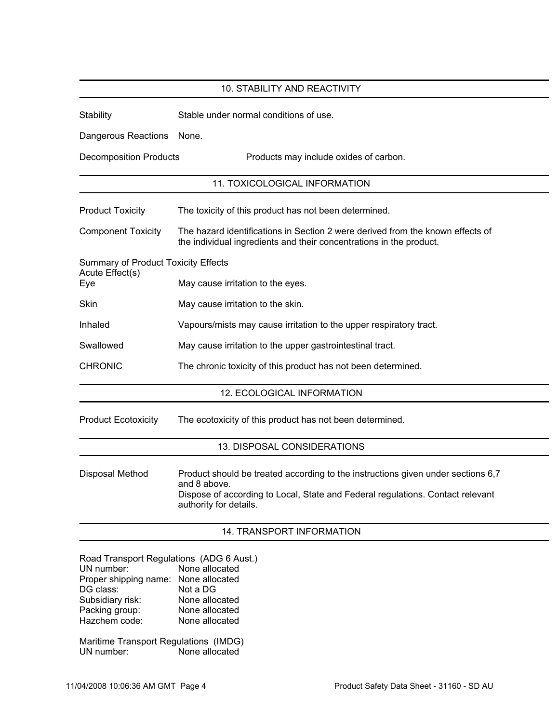|                                                        | 10. STABILITY AND REACTIVITY                                                                                                                          |
|--------------------------------------------------------|-------------------------------------------------------------------------------------------------------------------------------------------------------|
| Stability                                              | Stable under normal conditions of use.                                                                                                                |
|                                                        |                                                                                                                                                       |
| Dangerous Reactions None.                              |                                                                                                                                                       |
| <b>Decomposition Products</b>                          | Products may include oxides of carbon.                                                                                                                |
|                                                        | 11. TOXICOLOGICAL INFORMATION                                                                                                                         |
|                                                        | The toxicity of this product has not been determined.                                                                                                 |
| <b>Product Toxicity</b>                                |                                                                                                                                                       |
| <b>Component Toxicity</b>                              | The hazard identifications in Section 2 were derived from the known effects of<br>the individual ingredients and their concentrations in the product. |
| Summary of Product Toxicity Effects<br>Acute Effect(s) |                                                                                                                                                       |
| Eye                                                    | May cause irritation to the eyes.                                                                                                                     |
|                                                        |                                                                                                                                                       |
| Skin                                                   | May cause irritation to the skin.                                                                                                                     |
| Inhaled                                                | Vapours/mists may cause irritation to the upper respiratory tract.                                                                                    |
| Swallowed                                              | May cause irritation to the upper gastrointestinal tract.                                                                                             |
| <b>CHRONIC</b>                                         | The chronic toxicity of this product has not been determined.                                                                                         |
|                                                        | 12. ECOLOGICAL INFORMATION                                                                                                                            |
|                                                        |                                                                                                                                                       |
| <b>Product Ecotoxicity</b>                             | The ecotoxicity of this product has not been determined.                                                                                              |
|                                                        |                                                                                                                                                       |
|                                                        | 13. DISPOSAL CONSIDERATIONS                                                                                                                           |
| Disposal Method                                        | Product should be treated according to the instructions given under sections 6,7                                                                      |
|                                                        | and 8 above.                                                                                                                                          |
|                                                        | Dispose of according to Local, State and Federal regulations. Contact relevant<br>authority for details.                                              |
|                                                        |                                                                                                                                                       |
|                                                        | 14. TRANSPORT INFORMATION                                                                                                                             |
|                                                        |                                                                                                                                                       |
| UN number:                                             | Road Transport Regulations (ADG 6 Aust.)<br>None allocated                                                                                            |
| Proper shipping name: None allocated                   |                                                                                                                                                       |
| DG class:                                              | Not a DG                                                                                                                                              |
| Subsidiary risk:                                       | None allocated                                                                                                                                        |
| Packing group:                                         | None allocated                                                                                                                                        |
| Hazchem code:                                          | None allocated                                                                                                                                        |
| Maritime Transport Regulations (IMDG)                  |                                                                                                                                                       |
| UN number:                                             | None allocated                                                                                                                                        |
|                                                        |                                                                                                                                                       |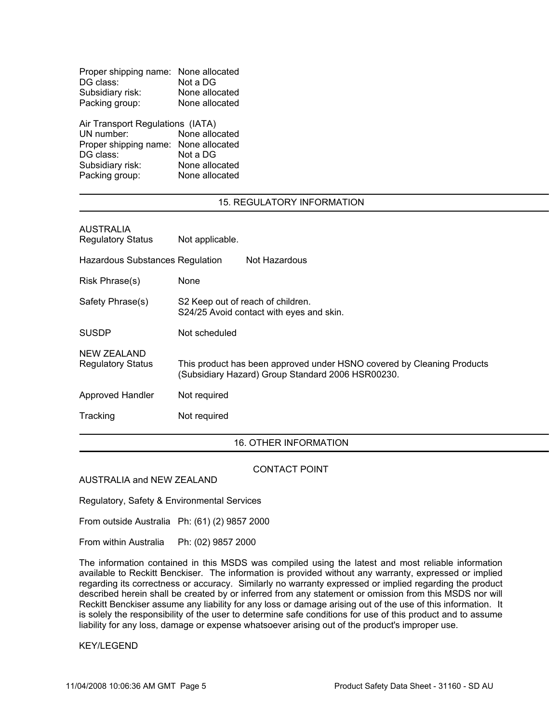| Proper shipping name: None allocated |                |  |
|--------------------------------------|----------------|--|
| DG class:                            | Not a DG       |  |
| Subsidiary risk:                     | None allocated |  |
| Packing group:                       | None allocated |  |

### 15. REGULATORY INFORMATION

| Proper shipping name: None allocated<br>DG class: Not a DG<br>Subsidiary risk:<br>None allocated<br>Packing group:<br>None allocated<br>Air Transport Regulations (IATA)<br>UN number: None allocated                                                                      |  |  |  |
|----------------------------------------------------------------------------------------------------------------------------------------------------------------------------------------------------------------------------------------------------------------------------|--|--|--|
| Proper shipping name: None allocated<br>DG class:<br>Not a DG<br>Subsidiary risk:<br>Packing group:<br>None allocated<br>None allocated                                                                                                                                    |  |  |  |
| 15. REGULATORY INFORMATION<br><b>AUSTRALIA</b><br>Regulatory Status<br>Not applicable.                                                                                                                                                                                     |  |  |  |
| Hazardous Substances Regulation<br>Not Hazardous<br>Risk Phrase(s)<br>None<br>Safety Phrase(s)<br>S2 Keep out of reach of children.<br>S24/25 Avoid contact with eyes and skin.                                                                                            |  |  |  |
| SUSDP<br>Not scheduled<br>NEW ZEALAND<br><b>Regulatory Status</b>                                                                                                                                                                                                          |  |  |  |
| This product has been approved under HSNO covered by Cleaning Products<br>(Subsidiary Hazard) Group Standard 2006 HSR00230.<br>Not required<br>Approved Handler<br>Tracking<br>Not required                                                                                |  |  |  |
| 16. OTHER INFORMATION<br>CONTACT POINT                                                                                                                                                                                                                                     |  |  |  |
| AUSTRALIA and NEW ZEALAND<br>Regulatory, Safety & Environmental Services<br>From outside Australia Ph: (61) (2) 9857 2000                                                                                                                                                  |  |  |  |
| From within Australia Ph: (02) 9857 2000<br>The information contained in this MSDS was compiled using the latest and most reliable information available to Reckitt Benckiser. The information is provided without any warranty, expressed or implied regarding its correc |  |  |  |
| liability for any loss, damage or expense whatsoever arising out of the product's improper use.<br><b>KEY/LEGEND</b>                                                                                                                                                       |  |  |  |
| 04/2008 10:06:36 AM GMT Page 5<br>Product Safety Data Sheet - 31160 - SD AU                                                                                                                                                                                                |  |  |  |
|                                                                                                                                                                                                                                                                            |  |  |  |